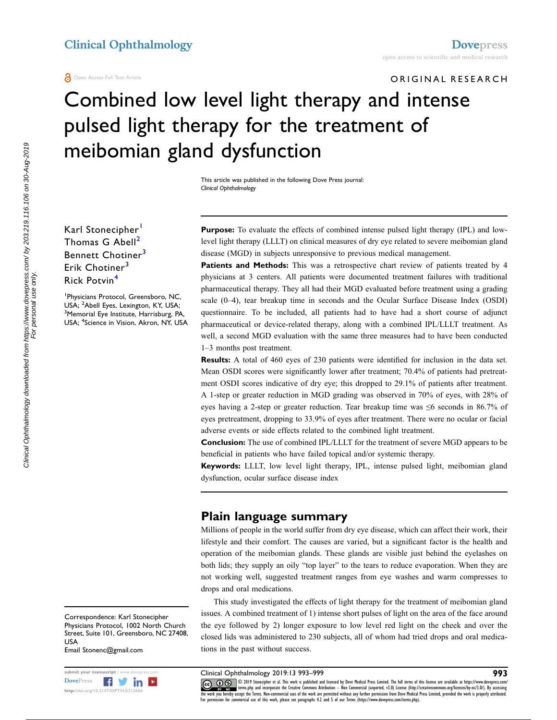Open Access Full Text Article

# ORIGINAL RESEARCH Combined low level light therapy and intense pulsed light therapy for the treatment of meibomian gland dysfunction

This article was published in the following Dove Press journal: Clinical Ophthalmology

Karl Stonecipher<sup>[1](#page-0-0)</sup> Thomas G  $Abell<sup>2</sup>$  $Abell<sup>2</sup>$  $Abell<sup>2</sup>$ Bennett Chotiner<sup>[3](#page-0-2)</sup> Erik Chotiner<sup>[3](#page-0-2)</sup> Rick Potvin[4](#page-0-3)

<span id="page-0-3"></span><span id="page-0-2"></span><span id="page-0-1"></span><span id="page-0-0"></span>1 Physicians Protocol, Greensboro, NC, USA; <sup>2</sup>Abell Eyes, Lexington, KY, USA;<br><sup>3</sup>Memorial Eye Institute, Harrisburg, P4 <sup>3</sup>Memorial Eye Institute, Harrisburg, PA, USA; <sup>4</sup> Science in Vision, Akron, NY, USA Purpose: To evaluate the effects of combined intense pulsed light therapy (IPL) and lowlevel light therapy (LLLT) on clinical measures of dry eye related to severe meibomian gland disease (MGD) in subjects unresponsive to previous medical management.

Patients and Methods: This was a retrospective chart review of patients treated by 4 physicians at 3 centers. All patients were documented treatment failures with traditional pharmaceutical therapy. They all had their MGD evaluated before treatment using a grading scale (0–4), tear breakup time in seconds and the Ocular Surface Disease Index (OSDI) questionnaire. To be included, all patients had to have had a short course of adjunct pharmaceutical or device-related therapy, along with a combined IPL/LLLT treatment. As well, a second MGD evaluation with the same three measures had to have been conducted 1–3 months post treatment.

Results: A total of 460 eyes of 230 patients were identified for inclusion in the data set. Mean OSDI scores were significantly lower after treatment; 70.4% of patients had pretreatment OSDI scores indicative of dry eye; this dropped to 29.1% of patients after treatment. A 1-step or greater reduction in MGD grading was observed in 70% of eyes, with 28% of eyes having a 2-step or greater reduction. Tear breakup time was  $\leq 6$  seconds in 86.7% of eyes pretreatment, dropping to 33.9% of eyes after treatment. There were no ocular or facial adverse events or side effects related to the combined light treatment.

Conclusion: The use of combined IPL/LLLT for the treatment of severe MGD appears to be beneficial in patients who have failed topical and/or systemic therapy.

Keywords: LLLT, low level light therapy, IPL, intense pulsed light, meibomian gland dysfunction, ocular surface disease index

## Plain language summary

Millions of people in the world suffer from dry eye disease, which can affect their work, their lifestyle and their comfort. The causes are varied, but a significant factor is the health and operation of the meibomian glands. These glands are visible just behind the eyelashes on both lids; they supply an oily "top layer" to the tears to reduce evaporation. When they are not working well, suggested treatment ranges from eye washes and warm compresses to drops and oral medications.

This study investigated the effects of light therapy for the treatment of meibomian gland issues. A combined treatment of 1) intense short pulses of light on the area of the face around the eye followed by 2) longer exposure to low level red light on the cheek and over the closed lids was administered to 230 subjects, all of whom had tried drops and oral medications in the past without success.

Correspondence: Karl Stonecipher Physicians Protocol, 1002 North Church Street, Suite 101, Greensboro, NC 27408, USA Email Stonenc@gmail.com

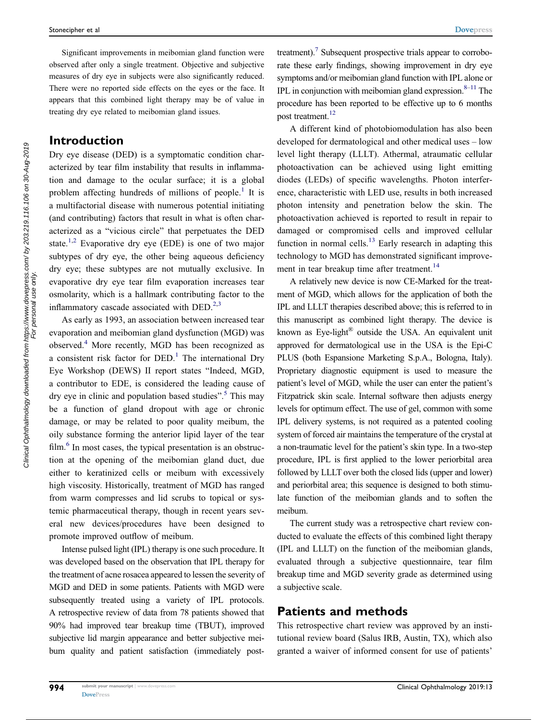Significant improvements in meibomian gland function were observed after only a single treatment. Objective and subjective measures of dry eye in subjects were also significantly reduced. There were no reported side effects on the eyes or the face. It appears that this combined light therapy may be of value in treating dry eye related to meibomian gland issues.

## Introduction

Dry eye disease (DED) is a symptomatic condition characterized by tear film instability that results in inflammation and damage to the ocular surface; it is a global problem affecting hundreds of millions of people.<sup>[1](#page-6-0)</sup> It is a multifactorial disease with numerous potential initiating (and contributing) factors that result in what is often characterized as a "vicious circle" that perpetuates the DED state.<sup>[1](#page-6-0)[,2](#page-6-1)</sup> Evaporative dry eye (EDE) is one of two major subtypes of dry eye, the other being aqueous deficiency dry eye; these subtypes are not mutually exclusive. In evaporative dry eye tear film evaporation increases tear osmolarity, which is a hallmark contributing factor to the inflammatory cascade associated with  $DED.^{2,3}$  $DED.^{2,3}$  $DED.^{2,3}$  $DED.^{2,3}$ 

<span id="page-1-3"></span><span id="page-1-2"></span><span id="page-1-1"></span><span id="page-1-0"></span>As early as 1993, an association between increased tear evaporation and meibomian gland dysfunction (MGD) was observed.[4](#page-6-3) More recently, MGD has been recognized as a consistent risk factor for  $DED<sup>1</sup>$  $DED<sup>1</sup>$  $DED<sup>1</sup>$ . The international Dry Eye Workshop (DEWS) II report states "Indeed, MGD, a contributor to EDE, is considered the leading cause of dry eye in clinic and population based studies".<sup>[5](#page-6-4)</sup> This may be a function of gland dropout with age or chronic damage, or may be related to poor quality meibum, the oily substance forming the anterior lipid layer of the tear film.<sup>[6](#page-6-5)</sup> In most cases, the typical presentation is an obstruction at the opening of the meibomian gland duct, due either to keratinized cells or meibum with excessively high viscosity. Historically, treatment of MGD has ranged from warm compresses and lid scrubs to topical or systemic pharmaceutical therapy, though in recent years several new devices/procedures have been designed to promote improved outflow of meibum.

<span id="page-1-4"></span>Intense pulsed light (IPL) therapy is one such procedure. It was developed based on the observation that IPL therapy for the treatment of acne rosacea appeared to lessen the severity of MGD and DED in some patients. Patients with MGD were subsequently treated using a variety of IPL protocols. A retrospective review of data from 78 patients showed that 90% had improved tear breakup time (TBUT), improved subjective lid margin appearance and better subjective meibum quality and patient satisfaction (immediately post<span id="page-1-6"></span><span id="page-1-5"></span>treatment).<sup>7</sup> Subsequent prospective trials appear to corroborate these early findings, showing improvement in dry eye symptoms and/or meibomian gland function with IPL alone or IPL in conjunction with meibomian gland expression. $8-11$  $8-11$  The procedure has been reported to be effective up to 6 months post treatment.<sup>[12](#page-6-9)</sup>

<span id="page-1-7"></span>A different kind of photobiomodulation has also been developed for dermatological and other medical uses – low level light therapy (LLLT). Athermal, atraumatic cellular photoactivation can be achieved using light emitting diodes (LEDs) of specific wavelengths. Photon interference, characteristic with LED use, results in both increased photon intensity and penetration below the skin. The photoactivation achieved is reported to result in repair to damaged or compromised cells and improved cellular function in normal cells.<sup>[13](#page-6-10)</sup> Early research in adapting this technology to MGD has demonstrated significant improve-ment in tear breakup time after treatment.<sup>[14](#page-6-11)</sup>

<span id="page-1-9"></span><span id="page-1-8"></span>A relatively new device is now CE-Marked for the treatment of MGD, which allows for the application of both the IPL and LLLT therapies described above; this is referred to in this manuscript as combined light therapy. The device is known as Eye-light<sup>®</sup> outside the USA. An equivalent unit approved for dermatological use in the USA is the Epi-C PLUS (both Espansione Marketing S.p.A., Bologna, Italy). Proprietary diagnostic equipment is used to measure the patient's level of MGD, while the user can enter the patient's Fitzpatrick skin scale. Internal software then adjusts energy levels for optimum effect. The use of gel, common with some IPL delivery systems, is not required as a patented cooling system of forced air maintains the temperature of the crystal at a non-traumatic level for the patient's skin type. In a two-step procedure, IPL is first applied to the lower periorbital area followed by LLLT over both the closed lids (upper and lower) and periorbital area; this sequence is designed to both stimulate function of the meibomian glands and to soften the meibum.

The current study was a retrospective chart review conducted to evaluate the effects of this combined light therapy (IPL and LLLT) on the function of the meibomian glands, evaluated through a subjective questionnaire, tear film breakup time and MGD severity grade as determined using a subjective scale.

#### Patients and methods

This retrospective chart review was approved by an institutional review board (Salus IRB, Austin, TX), which also granted a waiver of informed consent for use of patients'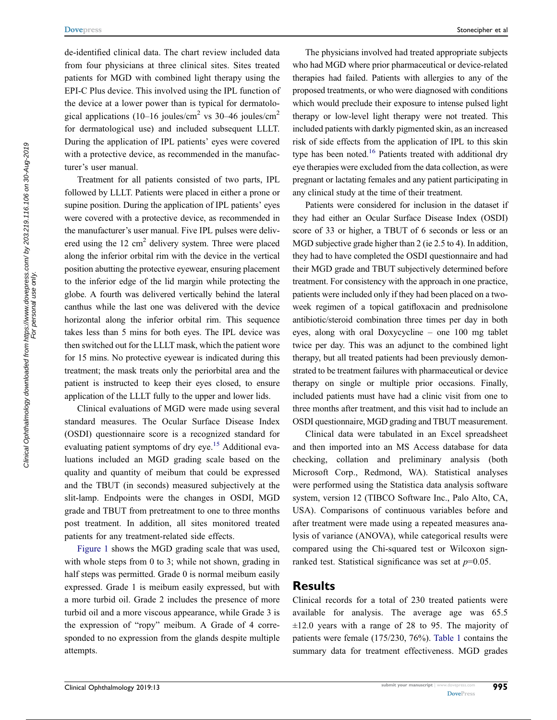de-identified clinical data. The chart review included data from four physicians at three clinical sites. Sites treated patients for MGD with combined light therapy using the EPI-C Plus device. This involved using the IPL function of the device at a lower power than is typical for dermatological applications (10–16 joules/cm<sup>2</sup> vs 30–46 joules/cm<sup>2</sup> for dermatological use) and included subsequent LLLT. During the application of IPL patients' eyes were covered with a protective device, as recommended in the manufacturer's user manual.

Treatment for all patients consisted of two parts, IPL followed by LLLT. Patients were placed in either a prone or supine position. During the application of IPL patients' eyes were covered with a protective device, as recommended in the manufacturer's user manual. Five IPL pulses were delivered using the  $12 \text{ cm}^2$  delivery system. Three were placed along the inferior orbital rim with the device in the vertical position abutting the protective eyewear, ensuring placement to the inferior edge of the lid margin while protecting the globe. A fourth was delivered vertically behind the lateral canthus while the last one was delivered with the device horizontal along the inferior orbital rim. This sequence takes less than 5 mins for both eyes. The IPL device was then switched out for the LLLT mask, which the patient wore for 15 mins. No protective eyewear is indicated during this treatment; the mask treats only the periorbital area and the patient is instructed to keep their eyes closed, to ensure application of the LLLT fully to the upper and lower lids.

<span id="page-2-0"></span>Clinical evaluations of MGD were made using several standard measures. The Ocular Surface Disease Index (OSDI) questionnaire score is a recognized standard for evaluating patient symptoms of dry eye.<sup>15</sup> Additional evaluations included an MGD grading scale based on the quality and quantity of meibum that could be expressed and the TBUT (in seconds) measured subjectively at the slit-lamp. Endpoints were the changes in OSDI, MGD grade and TBUT from pretreatment to one to three months post treatment. In addition, all sites monitored treated patients for any treatment-related side effects.

[Figure 1](#page-3-0) shows the MGD grading scale that was used, with whole steps from 0 to 3; while not shown, grading in half steps was permitted. Grade 0 is normal meibum easily expressed. Grade 1 is meibum easily expressed, but with a more turbid oil. Grade 2 includes the presence of more turbid oil and a more viscous appearance, while Grade 3 is the expression of "ropy" meibum. A Grade of 4 corresponded to no expression from the glands despite multiple attempts.

The physicians involved had treated appropriate subjects who had MGD where prior pharmaceutical or device-related therapies had failed. Patients with allergies to any of the proposed treatments, or who were diagnosed with conditions which would preclude their exposure to intense pulsed light therapy or low-level light therapy were not treated. This included patients with darkly pigmented skin, as an increased risk of side effects from the application of IPL to this skin type has been noted.<sup>16</sup> Patients treated with additional dry eye therapies were excluded from the data collection, as were pregnant or lactating females and any patient participating in any clinical study at the time of their treatment.

<span id="page-2-1"></span>Patients were considered for inclusion in the dataset if they had either an Ocular Surface Disease Index (OSDI) score of 33 or higher, a TBUT of 6 seconds or less or an MGD subjective grade higher than 2 (ie 2.5 to 4). In addition, they had to have completed the OSDI questionnaire and had their MGD grade and TBUT subjectively determined before treatment. For consistency with the approach in one practice, patients were included only if they had been placed on a twoweek regimen of a topical gatifloxacin and prednisolone antibiotic/steroid combination three times per day in both eyes, along with oral Doxycycline – one 100 mg tablet twice per day. This was an adjunct to the combined light therapy, but all treated patients had been previously demonstrated to be treatment failures with pharmaceutical or device therapy on single or multiple prior occasions. Finally, included patients must have had a clinic visit from one to three months after treatment, and this visit had to include an OSDI questionnaire, MGD grading and TBUT measurement.

Clinical data were tabulated in an Excel spreadsheet and then imported into an MS Access database for data checking, collation and preliminary analysis (both Microsoft Corp., Redmond, WA). Statistical analyses were performed using the Statistica data analysis software system, version 12 (TIBCO Software Inc., Palo Alto, CA, USA). Comparisons of continuous variables before and after treatment were made using a repeated measures analysis of variance (ANOVA), while categorical results were compared using the Chi-squared test or Wilcoxon signranked test. Statistical significance was set at  $p=0.05$ .

#### Results

Clinical records for a total of 230 treated patients were available for analysis. The average age was 65.5  $\pm 12.0$  years with a range of 28 to 95. The majority of patients were female (175/230, 76%). [Table 1](#page-3-1) contains the summary data for treatment effectiveness. MGD grades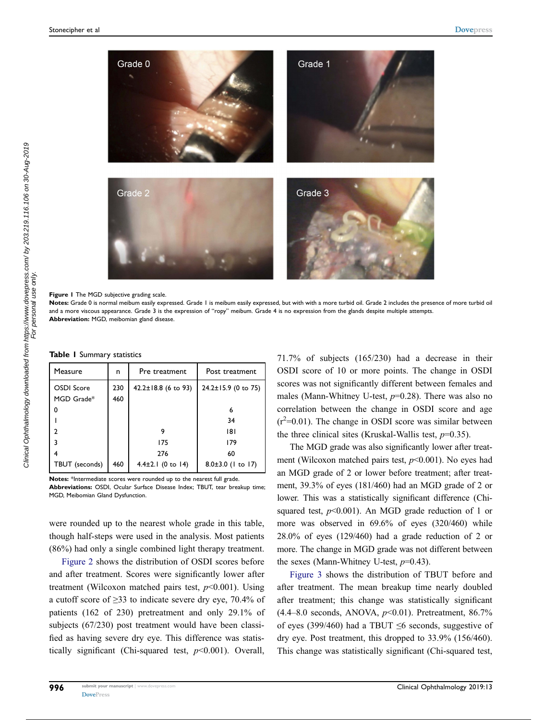<span id="page-3-0"></span>

Figure 1 The MGD subjective grading scale.

Notes: Grade 0 is normal meibum easily expressed. Grade 1 is meibum easily expressed, but with with a more turbid oil. Grade 2 includes the presence of more turbid oil and a more viscous appearance. Grade 3 is the expression of "ropy" meibum. Grade 4 is no expression from the glands despite multiple attempts. Abbreviation: MGD, meibomian gland disease.

<span id="page-3-1"></span>Table 1 Summary statistics

| Measure                  | n          | Pre treatment             | Post treatment            |
|--------------------------|------------|---------------------------|---------------------------|
| OSDI Score<br>MGD Grade* | 230<br>460 | $42.2 \pm 18.8$ (6 to 93) | $24.2 \pm 15.9$ (0 to 75) |
| 0                        |            |                           | 6                         |
|                          |            |                           | 34                        |
|                          |            |                           | 181                       |
| ٦                        |            | 175                       | 179                       |
|                          |            | 276                       | 60                        |
| TBUT (seconds)           | 460        | $4.4 \pm 2.1$ (0 to 14)   | 8.0±3.0 (1 to 17)         |

Notes: \*Intermediate scores were rounded up to the nearest full grade. Abbreviations: OSDI, Ocular Surface Disease Index; TBUT, tear breakup time; MGD, Meibomian Gland Dysfunction.

were rounded up to the nearest whole grade in this table, though half-steps were used in the analysis. Most patients (86%) had only a single combined light therapy treatment.

[Figure 2](#page-4-0) shows the distribution of OSDI scores before and after treatment. Scores were significantly lower after treatment (Wilcoxon matched pairs test,  $p<0.001$ ). Using a cutoff score of ≥33 to indicate severe dry eye, 70.4% of patients (162 of 230) pretreatment and only 29.1% of subjects (67/230) post treatment would have been classified as having severe dry eye. This difference was statistically significant (Chi-squared test,  $p<0.001$ ). Overall, 71.7% of subjects (165/230) had a decrease in their OSDI score of 10 or more points. The change in OSDI scores was not significantly different between females and males (Mann-Whitney U-test,  $p=0.28$ ). There was also no correlation between the change in OSDI score and age  $(r^2=0.01)$ . The change in OSDI score was similar between the three clinical sites (Kruskal-Wallis test,  $p=0.35$ ).

The MGD grade was also significantly lower after treatment (Wilcoxon matched pairs test,  $p<0.001$ ). No eyes had an MGD grade of 2 or lower before treatment; after treatment, 39.3% of eyes (181/460) had an MGD grade of 2 or lower. This was a statistically significant difference (Chisquared test,  $p<0.001$ ). An MGD grade reduction of 1 or more was observed in 69.6% of eyes (320/460) while 28.0% of eyes (129/460) had a grade reduction of 2 or more. The change in MGD grade was not different between the sexes (Mann-Whitney U-test,  $p=0.43$ ).

[Figure 3](#page-4-1) shows the distribution of TBUT before and after treatment. The mean breakup time nearly doubled after treatment; this change was statistically significant  $(4.4–8.0$  seconds, ANOVA,  $p<0.01$ ). Pretreatment, 86.7% of eyes (399/460) had a TBUT  $\leq$ 6 seconds, suggestive of dry eye. Post treatment, this dropped to 33.9% (156/460). This change was statistically significant (Chi-squared test,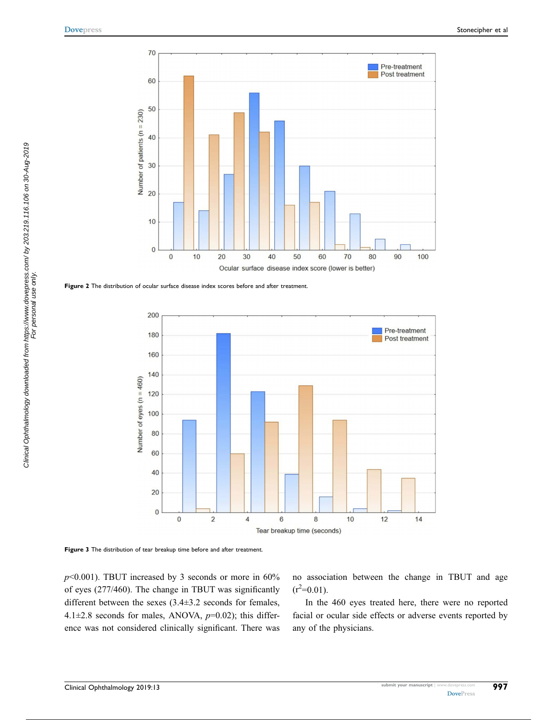<span id="page-4-0"></span>

<span id="page-4-1"></span>Figure 2 The distribution of ocular surface disease index scores before and after treatment.



Figure 3 The distribution of tear breakup time before and after treatment.

 $p$ <0.001). TBUT increased by 3 seconds or more in 60% of eyes (277/460). The change in TBUT was significantly different between the sexes (3.4±3.2 seconds for females, 4.1 $\pm$ 2.8 seconds for males, ANOVA,  $p$ =0.02); this difference was not considered clinically significant. There was no association between the change in TBUT and age  $(r^2=0.01)$ .

In the 460 eyes treated here, there were no reported facial or ocular side effects or adverse events reported by any of the physicians.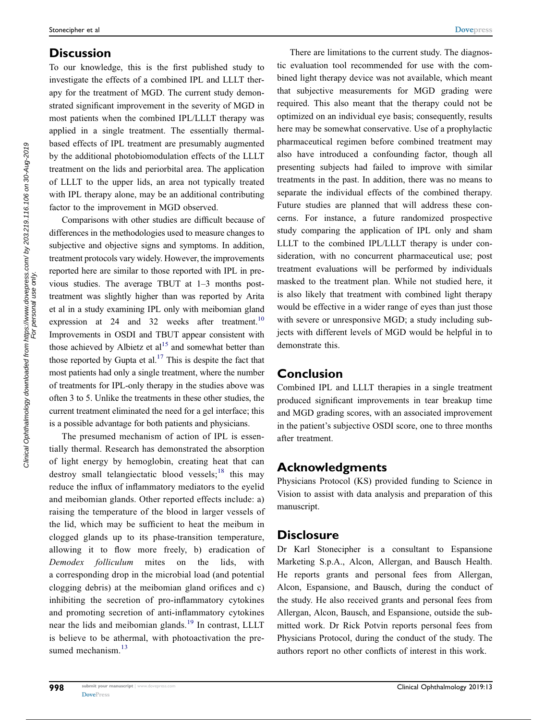# **Discussion**

To our knowledge, this is the first published study to investigate the effects of a combined IPL and LLLT therapy for the treatment of MGD. The current study demonstrated significant improvement in the severity of MGD in most patients when the combined IPL/LLLT therapy was applied in a single treatment. The essentially thermalbased effects of IPL treatment are presumably augmented by the additional photobiomodulation effects of the LLLT treatment on the lids and periorbital area. The application of LLLT to the upper lids, an area not typically treated with IPL therapy alone, may be an additional contributing factor to the improvement in MGD observed.

<span id="page-5-0"></span>Comparisons with other studies are difficult because of differences in the methodologies used to measure changes to subjective and objective signs and symptoms. In addition, treatment protocols vary widely. However, the improvements reported here are similar to those reported with IPL in previous studies. The average TBUT at 1–3 months posttreatment was slightly higher than was reported by Arita et al in a study examining IPL only with meibomian gland expression at 24 and 32 weeks after treatment.<sup>10</sup> Improvements in OSDI and TBUT appear consistent with those achieved by Albietz et  $al<sup>15</sup>$  $al<sup>15</sup>$  $al<sup>15</sup>$  and somewhat better than those reported by Gupta et al.<sup>[17](#page-6-15)</sup> This is despite the fact that most patients had only a single treatment, where the number of treatments for IPL-only therapy in the studies above was often 3 to 5. Unlike the treatments in these other studies, the current treatment eliminated the need for a gel interface; this is a possible advantage for both patients and physicians.

<span id="page-5-3"></span><span id="page-5-2"></span><span id="page-5-1"></span>The presumed mechanism of action of IPL is essentially thermal. Research has demonstrated the absorption of light energy by hemoglobin, creating heat that can destroy small telangiectatic blood vessels;<sup>[18](#page-6-16)</sup> this may reduce the influx of inflammatory mediators to the eyelid and meibomian glands. Other reported effects include: a) raising the temperature of the blood in larger vessels of the lid, which may be sufficient to heat the meibum in clogged glands up to its phase-transition temperature, allowing it to flow more freely, b) eradication of Demodex folliculum mites on the lids, with a corresponding drop in the microbial load (and potential clogging debris) at the meibomian gland orifices and c) inhibiting the secretion of pro-inflammatory cytokines and promoting secretion of anti-inflammatory cytokines near the lids and meibomian glands.<sup>[19](#page-6-17)</sup> In contrast, LLLT is believe to be athermal, with photoactivation the pre-sumed mechanism.<sup>[13](#page-6-10)</sup>

There are limitations to the current study. The diagnostic evaluation tool recommended for use with the combined light therapy device was not available, which meant that subjective measurements for MGD grading were required. This also meant that the therapy could not be optimized on an individual eye basis; consequently, results here may be somewhat conservative. Use of a prophylactic pharmaceutical regimen before combined treatment may also have introduced a confounding factor, though all presenting subjects had failed to improve with similar treatments in the past. In addition, there was no means to separate the individual effects of the combined therapy. Future studies are planned that will address these concerns. For instance, a future randomized prospective study comparing the application of IPL only and sham LLLT to the combined IPL/LLLT therapy is under consideration, with no concurrent pharmaceutical use; post treatment evaluations will be performed by individuals masked to the treatment plan. While not studied here, it is also likely that treatment with combined light therapy would be effective in a wider range of eyes than just those with severe or unresponsive MGD; a study including subjects with different levels of MGD would be helpful in to demonstrate this.

# Conclusion

Combined IPL and LLLT therapies in a single treatment produced significant improvements in tear breakup time and MGD grading scores, with an associated improvement in the patient's subjective OSDI score, one to three months after treatment.

# Acknowledgments

Physicians Protocol (KS) provided funding to Science in Vision to assist with data analysis and preparation of this manuscript.

# **Disclosure**

Dr Karl Stonecipher is a consultant to Espansione Marketing S.p.A., Alcon, Allergan, and Bausch Health. He reports grants and personal fees from Allergan, Alcon, Espansione, and Bausch, during the conduct of the study. He also received grants and personal fees from Allergan, Alcon, Bausch, and Espansione, outside the submitted work. Dr Rick Potvin reports personal fees from Physicians Protocol, during the conduct of the study. The authors report no other conflicts of interest in this work.